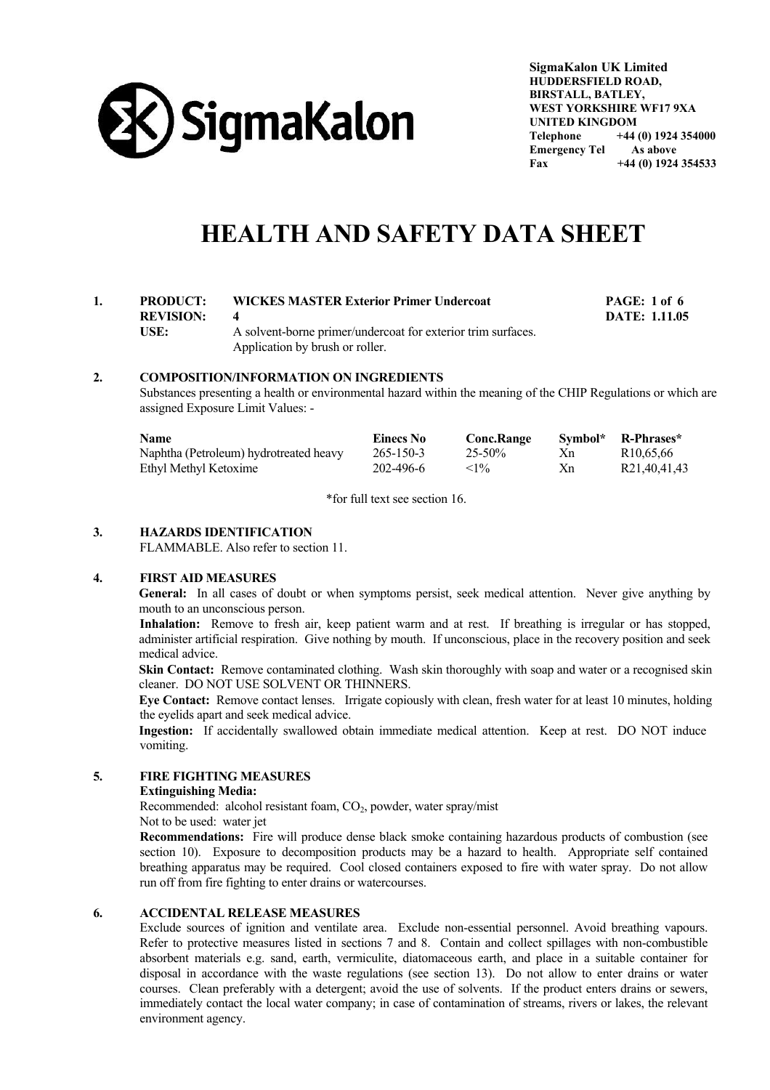

**SigmaKalon UK Limited HUDDERSFIELD ROAD, BIRSTALL, BATLEY, WEST YORKSHIRE WF17 9XA UNITED KINGDOM Telephone +44 (0) 1924 354000 Emergency Tel As above Fax +44 (0) 1924 354533** 

# **HEALTH AND SAFETY DATA SHEET**

# **1. PRODUCT: WICKES MASTER Exterior Primer Undercoat PAGE: 1 of 6 REVISION: 4 DATE: 1.11.05** USE: A solvent-borne primer/undercoat for exterior trim surfaces. Application by brush or roller.

## **2. COMPOSITION/INFORMATION ON INGREDIENTS**

 Substances presenting a health or environmental hazard within the meaning of the CHIP Regulations or which are assigned Exposure Limit Values: -

| <b>Name</b>                            | Einecs No | <b>Conc.Range</b> |    | Symbol* R-Phrases*    |
|----------------------------------------|-----------|-------------------|----|-----------------------|
| Naphtha (Petroleum) hydrotreated heavy | 265-150-3 | $25 - 50\%$       | Xn | R <sub>10.65.66</sub> |
| Ethyl Methyl Ketoxime                  | 202-496-6 | ${<}1\%$          | Xn | R21,40,41,43          |

\*for full text see section 16.

# **3. HAZARDS IDENTIFICATION**

FLAMMABLE. Also refer to section 11.

### **4. FIRST AID MEASURES**

**General:** In all cases of doubt or when symptoms persist, seek medical attention. Never give anything by mouth to an unconscious person.

**Inhalation:** Remove to fresh air, keep patient warm and at rest. If breathing is irregular or has stopped, administer artificial respiration. Give nothing by mouth. If unconscious, place in the recovery position and seek medical advice.

**Skin Contact:** Remove contaminated clothing. Wash skin thoroughly with soap and water or a recognised skin cleaner. DO NOT USE SOLVENT OR THINNERS.

**Eye Contact:** Remove contact lenses. Irrigate copiously with clean, fresh water for at least 10 minutes, holding the eyelids apart and seek medical advice.

**Ingestion:** If accidentally swallowed obtain immediate medical attention. Keep at rest. DO NOT induce vomiting.

# **5. FIRE FIGHTING MEASURES**

#### **Extinguishing Media:**

Recommended: alcohol resistant foam,  $CO<sub>2</sub>$ , powder, water spray/mist

Not to be used: water jet

 **Recommendations:** Fire will produce dense black smoke containing hazardous products of combustion (see section 10). Exposure to decomposition products may be a hazard to health. Appropriate self contained breathing apparatus may be required. Cool closed containers exposed to fire with water spray. Do not allow run off from fire fighting to enter drains or watercourses.

# **6. ACCIDENTAL RELEASE MEASURES**

 Exclude sources of ignition and ventilate area. Exclude non-essential personnel. Avoid breathing vapours. Refer to protective measures listed in sections 7 and 8. Contain and collect spillages with non-combustible absorbent materials e.g. sand, earth, vermiculite, diatomaceous earth, and place in a suitable container for disposal in accordance with the waste regulations (see section 13). Do not allow to enter drains or water courses. Clean preferably with a detergent; avoid the use of solvents. If the product enters drains or sewers, immediately contact the local water company; in case of contamination of streams, rivers or lakes, the relevant environment agency.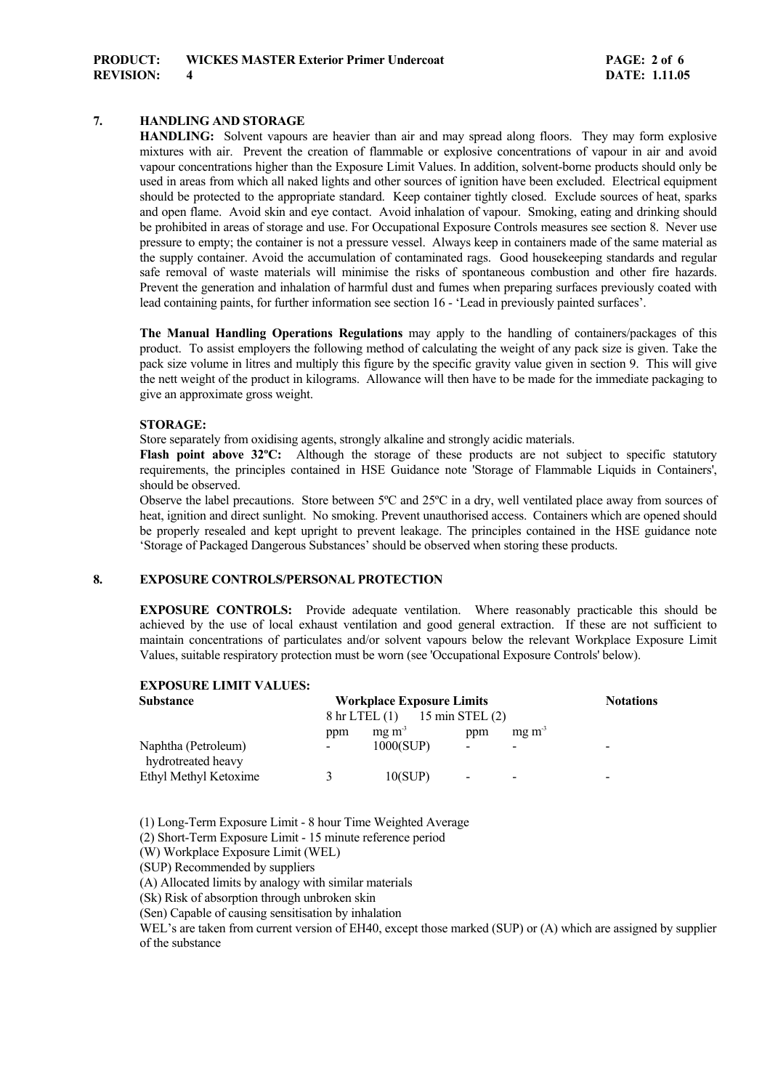# **7. HANDLING AND STORAGE**

 **HANDLING:** Solvent vapours are heavier than air and may spread along floors. They may form explosive mixtures with air. Prevent the creation of flammable or explosive concentrations of vapour in air and avoid vapour concentrations higher than the Exposure Limit Values. In addition, solvent-borne products should only be used in areas from which all naked lights and other sources of ignition have been excluded. Electrical equipment should be protected to the appropriate standard. Keep container tightly closed. Exclude sources of heat, sparks and open flame. Avoid skin and eye contact. Avoid inhalation of vapour. Smoking, eating and drinking should be prohibited in areas of storage and use. For Occupational Exposure Controls measures see section 8. Never use pressure to empty; the container is not a pressure vessel. Always keep in containers made of the same material as the supply container. Avoid the accumulation of contaminated rags. Good housekeeping standards and regular safe removal of waste materials will minimise the risks of spontaneous combustion and other fire hazards. Prevent the generation and inhalation of harmful dust and fumes when preparing surfaces previously coated with lead containing paints, for further information see section 16 - 'Lead in previously painted surfaces'.

**The Manual Handling Operations Regulations** may apply to the handling of containers/packages of this product. To assist employers the following method of calculating the weight of any pack size is given. Take the pack size volume in litres and multiply this figure by the specific gravity value given in section 9. This will give the nett weight of the product in kilograms. Allowance will then have to be made for the immediate packaging to give an approximate gross weight.

#### **STORAGE:**

Store separately from oxidising agents, strongly alkaline and strongly acidic materials.

**Flash point above 32°C:** Although the storage of these products are not subject to specific statutory requirements, the principles contained in HSE Guidance note 'Storage of Flammable Liquids in Containers', should be observed.

Observe the label precautions. Store between 5ºC and 25ºC in a dry, well ventilated place away from sources of heat, ignition and direct sunlight. No smoking. Prevent unauthorised access. Containers which are opened should be properly resealed and kept upright to prevent leakage. The principles contained in the HSE guidance note 'Storage of Packaged Dangerous Substances' should be observed when storing these products.

# **8. EXPOSURE CONTROLS/PERSONAL PROTECTION**

 **EXPOSURE CONTROLS:** Provide adequate ventilation. Where reasonably practicable this should be achieved by the use of local exhaust ventilation and good general extraction. If these are not sufficient to maintain concentrations of particulates and/or solvent vapours below the relevant Workplace Exposure Limit Values, suitable respiratory protection must be worn (see 'Occupational Exposure Controls' below).

# **EXPOSURE LIMIT VALUES:**

| <b>Substance</b>                          | <b>Workplace Exposure Limits</b> |                           |                          |                          | <b>Notations</b> |  |
|-------------------------------------------|----------------------------------|---------------------------|--------------------------|--------------------------|------------------|--|
|                                           |                                  | $8 \text{ hr}$ LTEL $(1)$ | 15 min STEL $(2)$        |                          |                  |  |
|                                           | ppm                              | $mg \, m3$                | ppm                      | $mg \, m3$               |                  |  |
| Naphtha (Petroleum)<br>hydrotreated heavy | ۰.                               | 1000(SUP)                 | $\overline{\phantom{0}}$ | $\,$                     | -                |  |
| Ethyl Methyl Ketoxime                     |                                  | 10(SUP)                   | ۰.                       | $\overline{\phantom{a}}$ | -                |  |

(1) Long-Term Exposure Limit - 8 hour Time Weighted Average

(2) Short-Term Exposure Limit - 15 minute reference period

(W) Workplace Exposure Limit (WEL)

(SUP) Recommended by suppliers

(A) Allocated limits by analogy with similar materials

(Sk) Risk of absorption through unbroken skin

(Sen) Capable of causing sensitisation by inhalation

WEL's are taken from current version of EH40, except those marked (SUP) or (A) which are assigned by supplier of the substance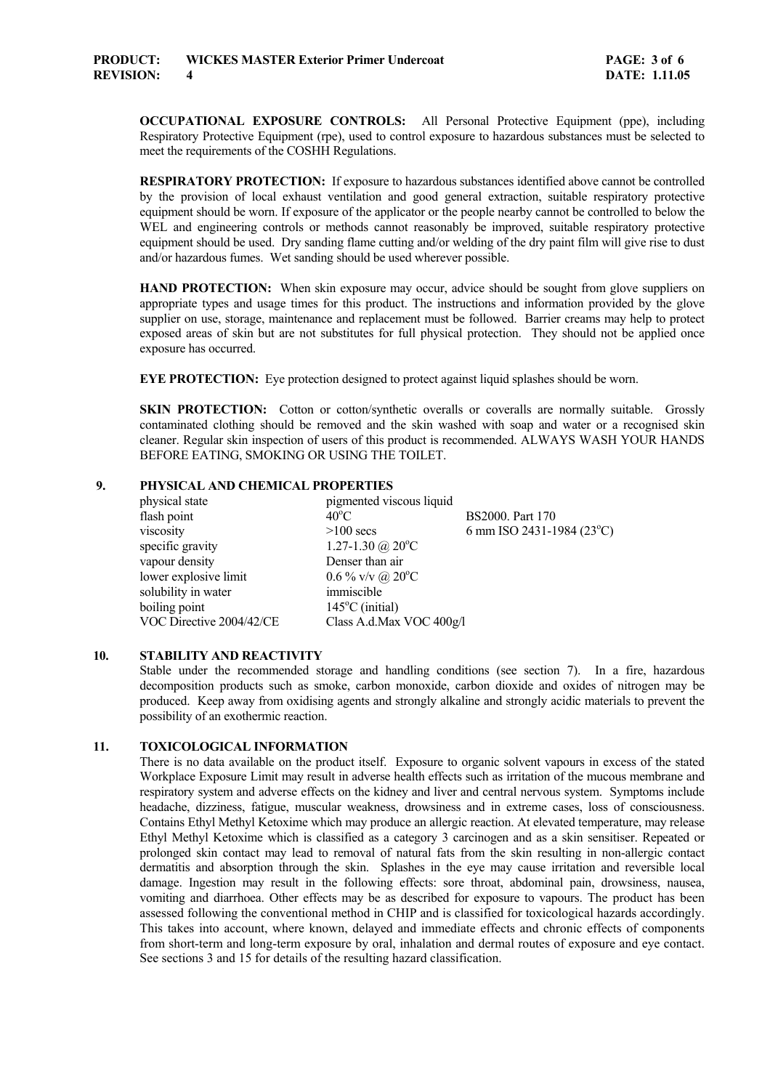**OCCUPATIONAL EXPOSURE CONTROLS:** All Personal Protective Equipment (ppe), including Respiratory Protective Equipment (rpe), used to control exposure to hazardous substances must be selected to meet the requirements of the COSHH Regulations.

 **RESPIRATORY PROTECTION:** If exposure to hazardous substances identified above cannot be controlled by the provision of local exhaust ventilation and good general extraction, suitable respiratory protective equipment should be worn. If exposure of the applicator or the people nearby cannot be controlled to below the WEL and engineering controls or methods cannot reasonably be improved, suitable respiratory protective equipment should be used. Dry sanding flame cutting and/or welding of the dry paint film will give rise to dust and/or hazardous fumes. Wet sanding should be used wherever possible.

**HAND PROTECTION:** When skin exposure may occur, advice should be sought from glove suppliers on appropriate types and usage times for this product. The instructions and information provided by the glove supplier on use, storage, maintenance and replacement must be followed. Barrier creams may help to protect exposed areas of skin but are not substitutes for full physical protection. They should not be applied once exposure has occurred.

**EYE PROTECTION:** Eye protection designed to protect against liquid splashes should be worn.

**SKIN PROTECTION:** Cotton or cotton/synthetic overalls or coveralls are normally suitable. Grossly contaminated clothing should be removed and the skin washed with soap and water or a recognised skin cleaner. Regular skin inspection of users of this product is recommended. ALWAYS WASH YOUR HANDS BEFORE EATING, SMOKING OR USING THE TOILET.

#### **9. PHYSICAL AND CHEMICAL PROPERTIES**

| physical state           | pigmented viscous liquid     |                           |
|--------------------------|------------------------------|---------------------------|
| flash point              | $40^{\circ}$ C               | BS2000. Part 170          |
| viscosity                | $>100$ secs                  | 6 mm ISO 2431-1984 (23°C) |
| specific gravity         | 1.27-1.30 @ $20^{\circ}$ C   |                           |
| vapour density           | Denser than air              |                           |
| lower explosive limit    | $0.6\%$ v/v @ $20^{\circ}$ C |                           |
| solubility in water      | immiscible                   |                           |
| boiling point            | $145^{\circ}$ C (initial)    |                           |
| VOC Directive 2004/42/CE | Class A.d.Max VOC 400g/l     |                           |

#### **10. STABILITY AND REACTIVITY**

 Stable under the recommended storage and handling conditions (see section 7). In a fire, hazardous decomposition products such as smoke, carbon monoxide, carbon dioxide and oxides of nitrogen may be produced. Keep away from oxidising agents and strongly alkaline and strongly acidic materials to prevent the possibility of an exothermic reaction.

# **11. TOXICOLOGICAL INFORMATION**

 There is no data available on the product itself. Exposure to organic solvent vapours in excess of the stated Workplace Exposure Limit may result in adverse health effects such as irritation of the mucous membrane and respiratory system and adverse effects on the kidney and liver and central nervous system. Symptoms include headache, dizziness, fatigue, muscular weakness, drowsiness and in extreme cases, loss of consciousness. Contains Ethyl Methyl Ketoxime which may produce an allergic reaction. At elevated temperature, may release Ethyl Methyl Ketoxime which is classified as a category 3 carcinogen and as a skin sensitiser. Repeated or prolonged skin contact may lead to removal of natural fats from the skin resulting in non-allergic contact dermatitis and absorption through the skin. Splashes in the eye may cause irritation and reversible local damage. Ingestion may result in the following effects: sore throat, abdominal pain, drowsiness, nausea, vomiting and diarrhoea. Other effects may be as described for exposure to vapours. The product has been assessed following the conventional method in CHIP and is classified for toxicological hazards accordingly. This takes into account, where known, delayed and immediate effects and chronic effects of components from short-term and long-term exposure by oral, inhalation and dermal routes of exposure and eye contact. See sections 3 and 15 for details of the resulting hazard classification.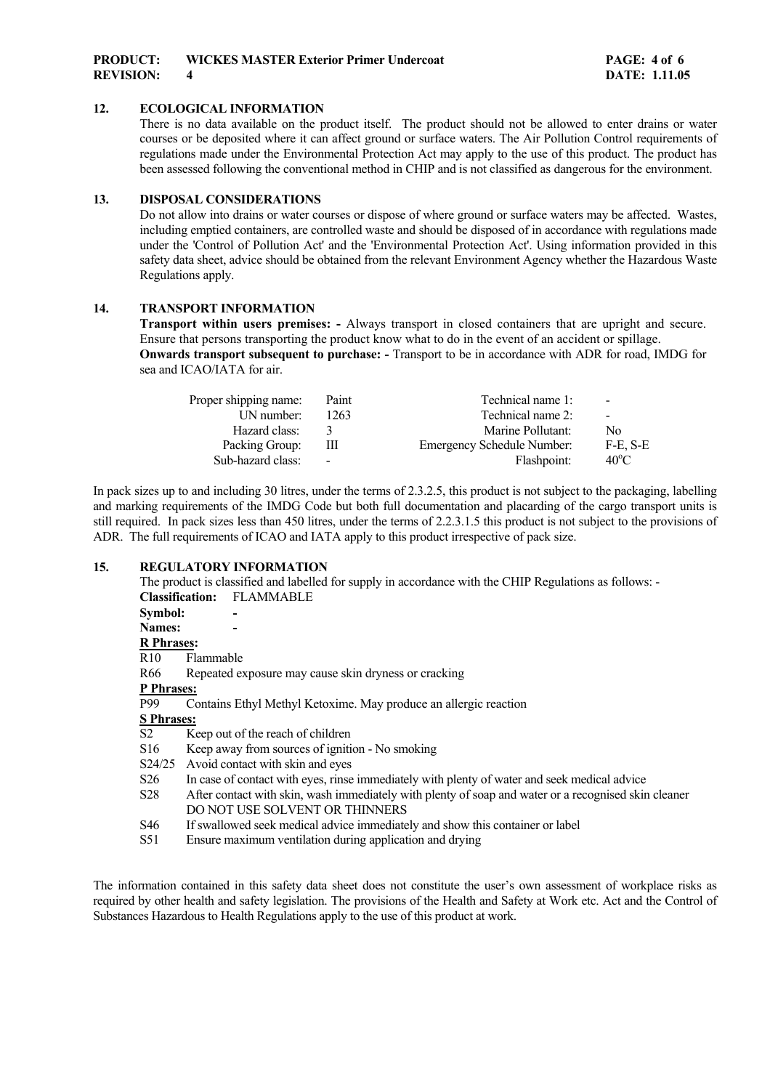# **12. ECOLOGICAL INFORMATION**

 There is no data available on the product itself. The product should not be allowed to enter drains or water courses or be deposited where it can affect ground or surface waters. The Air Pollution Control requirements of regulations made under the Environmental Protection Act may apply to the use of this product. The product has been assessed following the conventional method in CHIP and is not classified as dangerous for the environment.

# **13. DISPOSAL CONSIDERATIONS**

 Do not allow into drains or water courses or dispose of where ground or surface waters may be affected. Wastes, including emptied containers, are controlled waste and should be disposed of in accordance with regulations made under the 'Control of Pollution Act' and the 'Environmental Protection Act'. Using information provided in this safety data sheet, advice should be obtained from the relevant Environment Agency whether the Hazardous Waste Regulations apply.

## **14. TRANSPORT INFORMATION**

**Transport within users premises: -** Always transport in closed containers that are upright and secure. Ensure that persons transporting the product know what to do in the event of an accident or spillage. **Onwards transport subsequent to purchase: -** Transport to be in accordance with ADR for road, IMDG for sea and ICAO/IATA for air.

| Paint          | Technical name 1:                 | $\blacksquare$ |
|----------------|-----------------------------------|----------------|
| 1263           | Technical name 2:                 | $\sim$         |
|                | Marine Pollutant:                 | No.            |
| Ш              | <b>Emergency Schedule Number:</b> | F-E. S-E       |
| $\blacksquare$ | Flashpoint:                       | $40^{\circ}$ C |
|                |                                   |                |

In pack sizes up to and including 30 litres, under the terms of 2.3.2.5, this product is not subject to the packaging, labelling and marking requirements of the IMDG Code but both full documentation and placarding of the cargo transport units is still required. In pack sizes less than 450 litres, under the terms of 2.2.3.1.5 this product is not subject to the provisions of ADR. The full requirements of ICAO and IATA apply to this product irrespective of pack size.

### **15. REGULATORY INFORMATION**

|                        | The product is classified and labelled for supply in accordance with the CHIP Regulations as follows: - |
|------------------------|---------------------------------------------------------------------------------------------------------|
| <b>Classification:</b> | <b>FLAMMABLE</b>                                                                                        |
| Symbol:                |                                                                                                         |
| Names:                 |                                                                                                         |
| <b>R</b> Phrases:      |                                                                                                         |
| R <sub>10</sub>        | Flammable                                                                                               |
| R66                    | Repeated exposure may cause skin dryness or cracking                                                    |
| P Phrases:             |                                                                                                         |
| P99                    | Contains Ethyl Methyl Ketoxime. May produce an allergic reaction                                        |
| <b>S</b> Phrases:      |                                                                                                         |
| S <sub>2</sub>         | Keep out of the reach of children                                                                       |
| S <sub>16</sub>        | Keep away from sources of ignition - No smoking                                                         |
| S24/25                 | Avoid contact with skin and eyes                                                                        |
| S <sub>26</sub>        | In case of contact with eyes, rinse immediately with plenty of water and seek medical advice            |
| S <sub>28</sub>        | After contact with skin, wash immediately with plenty of soap and water or a recognised skin cleaner    |
|                        | DO NOT USE SOLVENT OR THINNERS                                                                          |
| S46                    | If swallowed seek medical advice immediately and show this container or label                           |
| S51                    | Ensure maximum ventilation during application and drying                                                |

The information contained in this safety data sheet does not constitute the user's own assessment of workplace risks as required by other health and safety legislation. The provisions of the Health and Safety at Work etc. Act and the Control of Substances Hazardous to Health Regulations apply to the use of this product at work.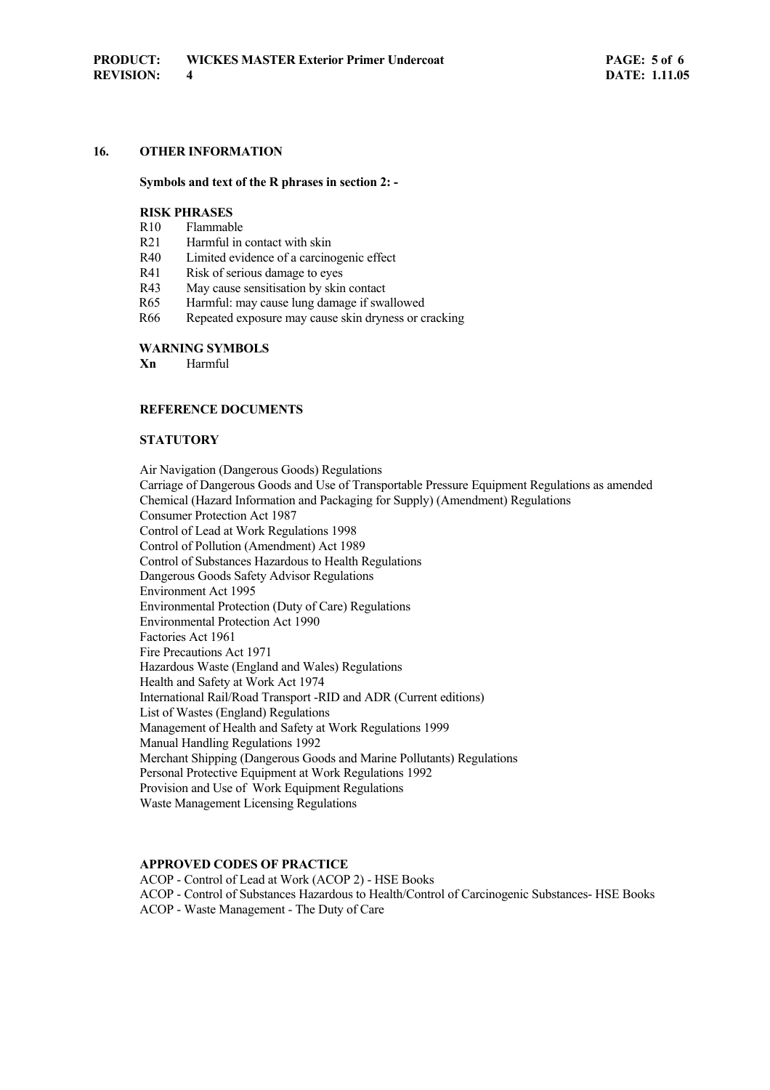# **16. OTHER INFORMATION**

#### **Symbols and text of the R phrases in section 2: -**

#### **RISK PHRASES**

- R10 Flammable
- R<sub>21</sub> Harmful in contact with skin
- R40 Limited evidence of a carcinogenic effect
- R41 Risk of serious damage to eyes
- R43 May cause sensitisation by skin contact
- R65 Harmful: may cause lung damage if swallowed
- R66 Repeated exposure may cause skin dryness or cracking

# **WARNING SYMBOLS**

 **Xn** Harmful

# **REFERENCE DOCUMENTS**

#### **STATUTORY**

 Air Navigation (Dangerous Goods) Regulations Carriage of Dangerous Goods and Use of Transportable Pressure Equipment Regulations as amended Chemical (Hazard Information and Packaging for Supply) (Amendment) Regulations Consumer Protection Act 1987 Control of Lead at Work Regulations 1998 Control of Pollution (Amendment) Act 1989 Control of Substances Hazardous to Health Regulations Dangerous Goods Safety Advisor Regulations Environment Act 1995 Environmental Protection (Duty of Care) Regulations Environmental Protection Act 1990 Factories Act 1961 Fire Precautions Act 1971 Hazardous Waste (England and Wales) Regulations Health and Safety at Work Act 1974 International Rail/Road Transport -RID and ADR (Current editions) List of Wastes (England) Regulations Management of Health and Safety at Work Regulations 1999 Manual Handling Regulations 1992 Merchant Shipping (Dangerous Goods and Marine Pollutants) Regulations Personal Protective Equipment at Work Regulations 1992 Provision and Use of Work Equipment Regulations Waste Management Licensing Regulations

### **APPROVED CODES OF PRACTICE**

 ACOP - Control of Lead at Work (ACOP 2) - HSE Books ACOP - Control of Substances Hazardous to Health/Control of Carcinogenic Substances- HSE Books ACOP - Waste Management - The Duty of Care